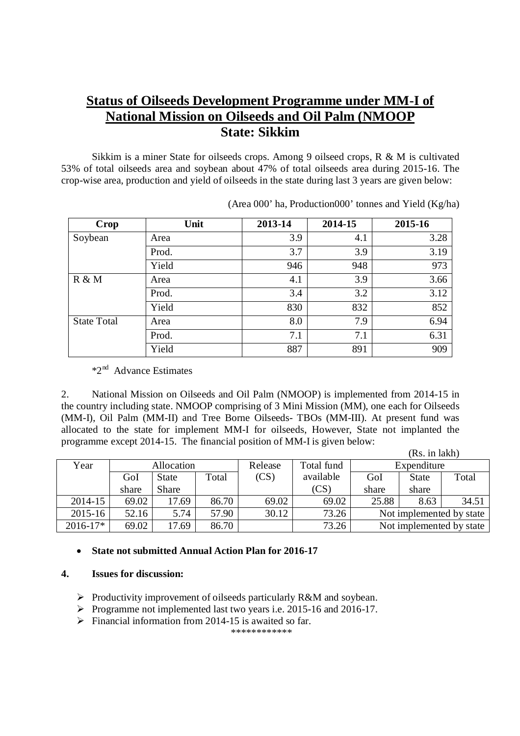# **Status of Oilseeds Development Programme under MM-I of National Mission on Oilseeds and Oil Palm (NMOOP State: Sikkim**

Sikkim is a miner State for oilseeds crops. Among 9 oilseed crops, R & M is cultivated 53% of total oilseeds area and soybean about 47% of total oilseeds area during 2015-16. The crop-wise area, production and yield of oilseeds in the state during last 3 years are given below:

| Crop               | Unit  | 2013-14 | 2014-15 | 2015-16 |
|--------------------|-------|---------|---------|---------|
| Soybean            | Area  | 3.9     | 4.1     | 3.28    |
|                    | Prod. | 3.7     | 3.9     | 3.19    |
|                    | Yield | 946     | 948     | 973     |
| R & M              | Area  | 4.1     | 3.9     | 3.66    |
|                    | Prod. | 3.4     | 3.2     | 3.12    |
|                    | Yield | 830     | 832     | 852     |
| <b>State Total</b> | Area  | 8.0     | 7.9     | 6.94    |
|                    | Prod. | 7.1     | 7.1     | 6.31    |
|                    | Yield | 887     | 891     | 909     |

(Area 000' ha, Production000' tonnes and Yield (Kg/ha)

\*2nd Advance Estimates

2. National Mission on Oilseeds and Oil Palm (NMOOP) is implemented from 2014-15 in the country including state. NMOOP comprising of 3 Mini Mission (MM), one each for Oilseeds (MM-I), Oil Palm (MM-II) and Tree Borne Oilseeds- TBOs (MM-III). At present fund was allocated to the state for implement MM-I for oilseeds, However, State not implanted the programme except 2014-15. The financial position of MM-I is given below:  $\mathbf{r}$  in a large set

|             |       |                   |       |         |            |       | (RS. 111 lakn) |                          |
|-------------|-------|-------------------|-------|---------|------------|-------|----------------|--------------------------|
| Year        |       | <b>Allocation</b> |       | Release | Total fund |       | Expenditure    |                          |
|             | GoI   | State             | Total | (CS)    | available  | GoI   | <b>State</b>   | Total                    |
|             | share | <b>Share</b>      |       |         | (CS)       | share | share          |                          |
| 2014-15     | 69.02 | 17.69             | 86.70 | 69.02   | 69.02      | 25.88 | 8.63           | 34.51                    |
| $2015 - 16$ | 52.16 | 5.74              | 57.90 | 30.12   | 73.26      |       |                | Not implemented by state |
| $2016-17*$  | 69.02 | 17.69             | 86.70 |         | 73.26      |       |                | Not implemented by state |

#### **State not submitted Annual Action Plan for 2016-17**

#### **4. Issues for discussion:**

- $\triangleright$  Productivity improvement of oilseeds particularly R&M and soybean.
- Programme not implemented last two years i.e.  $2015-16$  and  $2016-17$ .
- $\triangleright$  Financial information from 2014-15 is awaited so far.

\*\*\*\*\*\*\*\*\*\*\*\*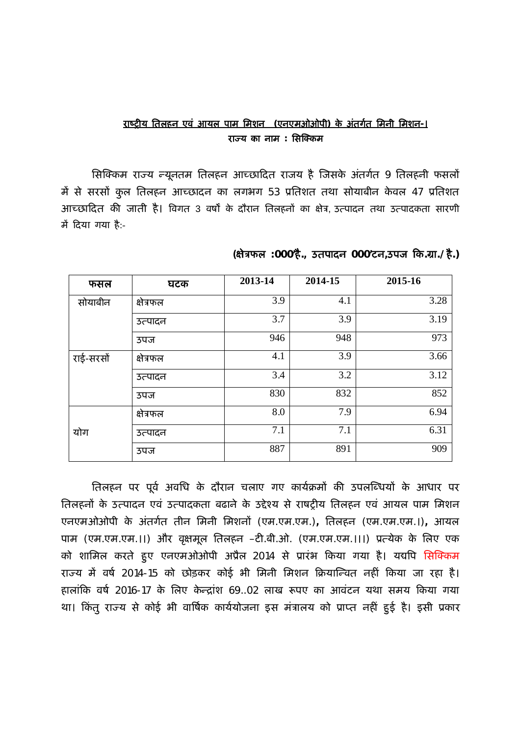### **राç Ěȣय ितलहन एवं आयल पाम िमशन (एनएमओओपी) के अंतग[त िमनी िमशन-। राÏ य का नाम : िसǔÈकम**

सिक्किम राज्य न्यूनतम तिलहन आच्छादित राजय है जिसके अंतर्गत 9 तिलहनी फसलों मैं से सरसों कुल तिलहन आच्छादन का लगभग 53 प्रतिशत तथा सोयाबीन केवल 47 प्रतिशत आच्छादित की जाती है। विगत 3 वर्षों के दौरान तिलहनों का क्षेत्र, उत्पादन तथा उत्पादकता सारणी में दिया गया है:-

| फसल       | घटक       | 2013-14 | 2014-15 | 2015-16 |
|-----------|-----------|---------|---------|---------|
| सोयाबीन   | क्षेत्रफल | 3.9     | 4.1     | 3.28    |
|           | उत्पादन   | 3.7     | 3.9     | 3.19    |
|           | उपज       | 946     | 948     | 973     |
| राई-सरसों | क्षेत्रफल | 4.1     | 3.9     | 3.66    |
|           | उत्पादन   | 3.4     | 3.2     | 3.12    |
|           | उपज       | 830     | 832     | 852     |
|           | क्षेत्रफल | 8.0     | 7.9     | 6.94    |
| योग       | उत्पादन   | 7.1     | 7.1     | 6.31    |
|           | उपज       | 887     | 891     | 909     |

## **(¢ेğफल :000'है., उतपादन 000'टन,उपज Ǒक.Ēा./है.)**

तिलहन पर पूर्व अवधि के दौरान चलाए गए कार्यक्रमों की उपलब्धियों के आधार पर तिलहनों के उत्पादन एवं उत्पादकता बढाने के उद्देश्य से राषट्रीय तिलहन एवं आयल पाम मिशन एनएमओओपी के अंतग[त तीन िमनी िमशनɉ (एम.एम.एम.)**,** ितलहन (एम.एम.एम.।)**,** आयल पाम (एम.एम.एम.।।) और वृक्षमूल तिलहन –टी.बी.ओ. (एम.एम.एम.।।।) प्रत्येक के लिए एक को शामिल करते हुए एनएमओओपी अप्रैल 2014 से प्रारंभ किया गया है। यद्यपि सिक्किम राज्य में वर्ष 2014-15 को छोड़कर कोई भी मिनी मिशन क्रियान्वित नहीं किया जा रहा है। हालांकि वर्ष 2016-17 के लिए केन्द्रांश 69..02 लाख रूपए का आवंटन यथा समय किया गया था। किंतु राज्य से कोई भी वार्षिक कार्ययोजना इस मंत्रालय को प्राप्त नहीं हुई है। इसी प्रकार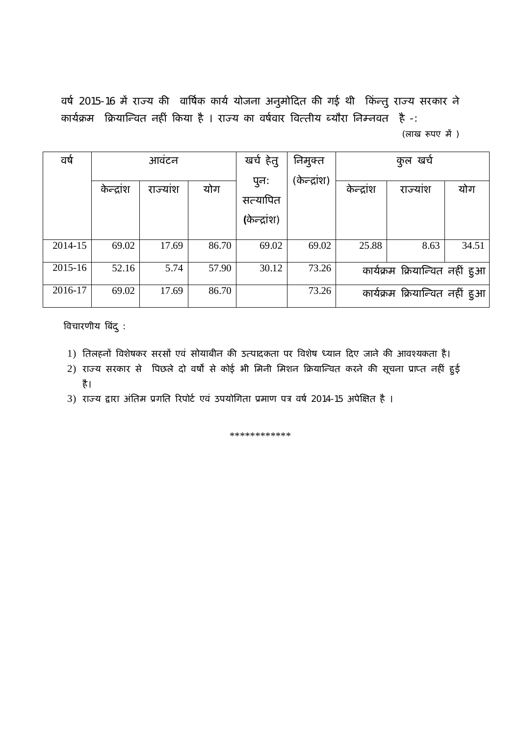वर्ष 2015-16 में राज्य की वार्षिक कार्य योजना अनुमोदित की गई थी किन्तु राज्य सरकार ने कार्यक्रम क्रियान्वित नहीं किया है । राज्य का वर्षवार वित्तीय ब्यौरा निम्नवत है -:

(लाख रूपए में)

| वर्ष    |            | आवंटन   |       | खर्च हेतु    | निमुक्त      |            | कुल खर्च                       |       |
|---------|------------|---------|-------|--------------|--------------|------------|--------------------------------|-------|
|         | केन्द्रांश | राज्याश | योग   | पुन:         | (केन्द्रांश) | केन्द्रांश | राज्याश                        | योग   |
|         |            |         |       | सत्यापित     |              |            |                                |       |
|         |            |         |       | (केन्द्रांश) |              |            |                                |       |
|         |            |         |       |              |              |            |                                |       |
| 2014-15 | 69.02      | 17.69   | 86.70 | 69.02        | 69.02        | 25.88      | 8.63                           | 34.51 |
| 2015-16 | 52.16      | 5.74    | 57.90 | 30.12        | 73.26        |            | कार्यक्रम क्रियान्वित नहीं हुआ |       |
| 2016-17 | 69.02      | 17.69   | 86.70 |              | 73.26        |            | कार्यक्रम क्रियान्वित नहीं हुआ |       |

ǒवचारणीय ǒबंदु :

- 1) तिलहनों विशेषकर सरसों एवं सोयाबीन की उत्पादकता पर विशेष ध्यान दिए जाने की आवश्यकता है।
- 2) राज्य सरकार से पिछले दो वर्षों से कोई भी मिनी मिशन क्रियान्वित करने की सूचना प्राप्त नहीं हुई है।
- 3) राज्य द्वारा अंतिम प्रगति रिपोर्ट एवं उपयोगिता प्रमाण पत्र वर्ष 2014-15 अपेक्षित है ।

\*\*\*\*\*\*\*\*\*\*\*\*